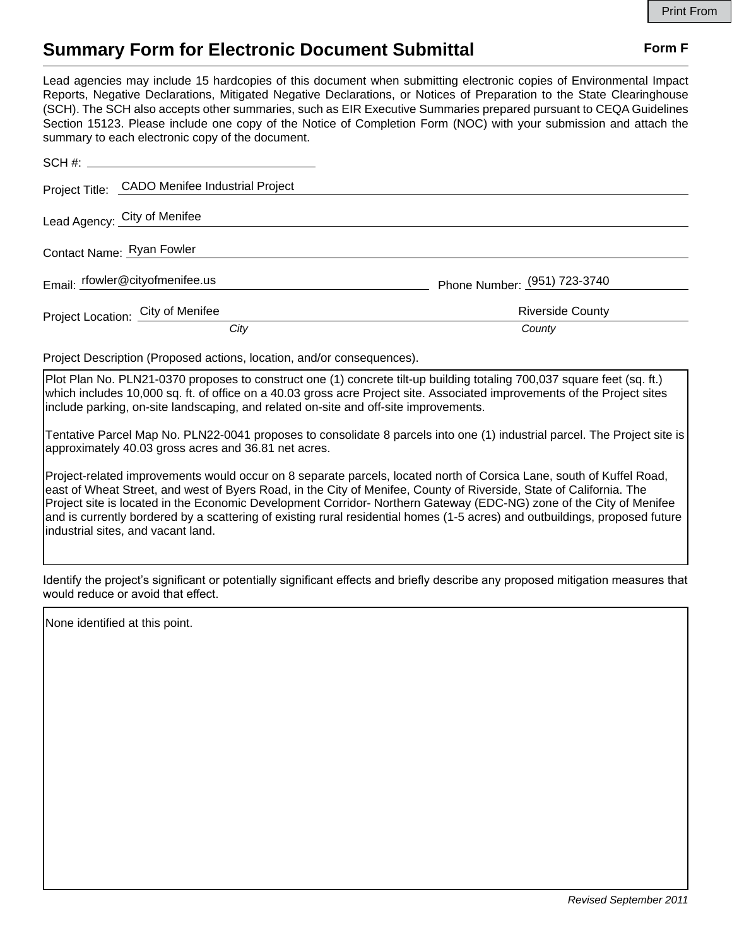## **Summary Form for Electronic Document Submittal Form F Form F**

Lead agencies may include 15 hardcopies of this document when submitting electronic copies of Environmental Impact Reports, Negative Declarations, Mitigated Negative Declarations, or Notices of Preparation to the State Clearinghouse (SCH). The SCH also accepts other summaries, such as EIR Executive Summaries prepared pursuant to CEQA Guidelines Section 15123. Please include one copy of the Notice of Completion Form (NOC) with your submission and attach the summary to each electronic copy of the document.

|                                 | Project Title: CADO Menifee Industrial Project |                              |
|---------------------------------|------------------------------------------------|------------------------------|
|                                 | Lead Agency: City of Menifee                   |                              |
| Contact Name: Ryan Fowler       |                                                |                              |
| Email: rfowler@cityofmenifee.us |                                                | Phone Number: (951) 723-3740 |
|                                 | Project Location: City of Menifee              | <b>Riverside County</b>      |
|                                 | City                                           | County                       |

Project Description (Proposed actions, location, and/or consequences).

Plot Plan No. PLN21-0370 proposes to construct one (1) concrete tilt-up building totaling 700,037 square feet (sq. ft.) which includes 10,000 sq. ft. of office on a 40.03 gross acre Project site. Associated improvements of the Project sites include parking, on-site landscaping, and related on-site and off-site improvements.

Tentative Parcel Map No. PLN22-0041 proposes to consolidate 8 parcels into one (1) industrial parcel. The Project site is approximately 40.03 gross acres and 36.81 net acres.

Project-related improvements would occur on 8 separate parcels, located north of Corsica Lane, south of Kuffel Road, east of Wheat Street, and west of Byers Road, in the City of Menifee, County of Riverside, State of California. The Project site is located in the Economic Development Corridor- Northern Gateway (EDC-NG) zone of the City of Menifee and is currently bordered by a scattering of existing rural residential homes (1-5 acres) and outbuildings, proposed future industrial sites, and vacant land.

Identify the project's significant or potentially significant effects and briefly describe any proposed mitigation measures that would reduce or avoid that effect.

None identified at this point.